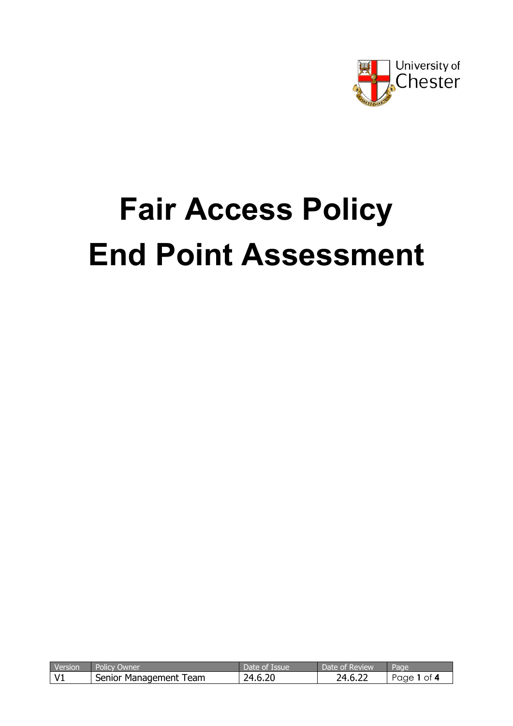

# **Fair Access Policy End Point Assessment**

| Version | Policy<br>Owner          | <b>Issue</b><br>Date c<br>OП | <b>E</b> Review<br>Date of | Page       |
|---------|--------------------------|------------------------------|----------------------------|------------|
| v       | Senior Management<br>eam | .6.20<br>בר                  | $\sim$<br>ר ∩<br>h<br>ے ۔  | 0t<br>'aae |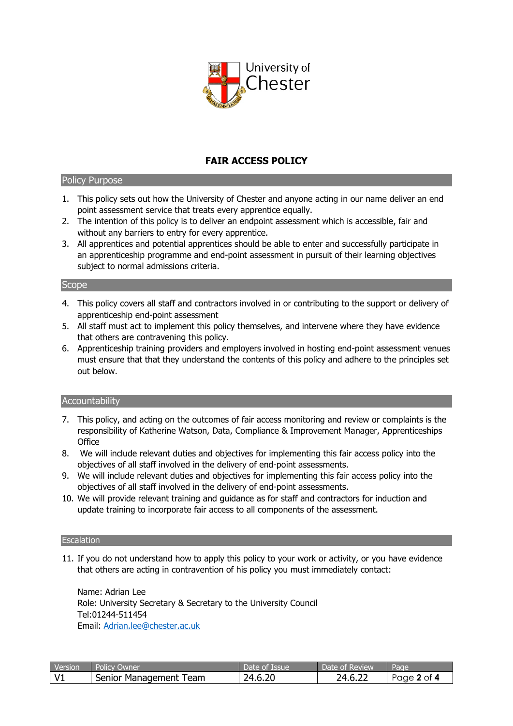

# **FAIR ACCESS POLICY**

# Policy Purpose

- 1. This policy sets out how the University of Chester and anyone acting in our name deliver an end point assessment service that treats every apprentice equally.
- 2. The intention of this policy is to deliver an endpoint assessment which is accessible, fair and without any barriers to entry for every apprentice.
- 3. All apprentices and potential apprentices should be able to enter and successfully participate in an apprenticeship programme and end-point assessment in pursuit of their learning objectives subject to normal admissions criteria.

# **Scope**

- 4. This policy covers all staff and contractors involved in or contributing to the support or delivery of apprenticeship end-point assessment
- 5. All staff must act to implement this policy themselves, and intervene where they have evidence that others are contravening this policy.
- 6. Apprenticeship training providers and employers involved in hosting end-point assessment venues must ensure that that they understand the contents of this policy and adhere to the principles set out below.

# **Accountability**

- 7. This policy, and acting on the outcomes of fair access monitoring and review or complaints is the responsibility of Katherine Watson, Data, Compliance & Improvement Manager, Apprenticeships **Office**
- 8. We will include relevant duties and objectives for implementing this fair access policy into the objectives of all staff involved in the delivery of end-point assessments.
- 9. We will include relevant duties and objectives for implementing this fair access policy into the objectives of all staff involved in the delivery of end-point assessments.
- 10. We will provide relevant training and guidance as for staff and contractors for induction and update training to incorporate fair access to all components of the assessment.

#### **Escalation**

11. If you do not understand how to apply this policy to your work or activity, or you have evidence that others are acting in contravention of his policy you must immediately contact:

Name: Adrian Lee Role: University Secretary & Secretary to the University Council Tel:01244-511454 Email: [Adrian.lee@chester.ac.uk](mailto:Adrian.lee@chester.ac.uk)

| Version | <b>Policy Owner</b>    | Date of Issue | Date of Review | Page        |
|---------|------------------------|---------------|----------------|-------------|
|         | Senior Management Team | 24.6.20       | 24.6.22        | Page 2 of 4 |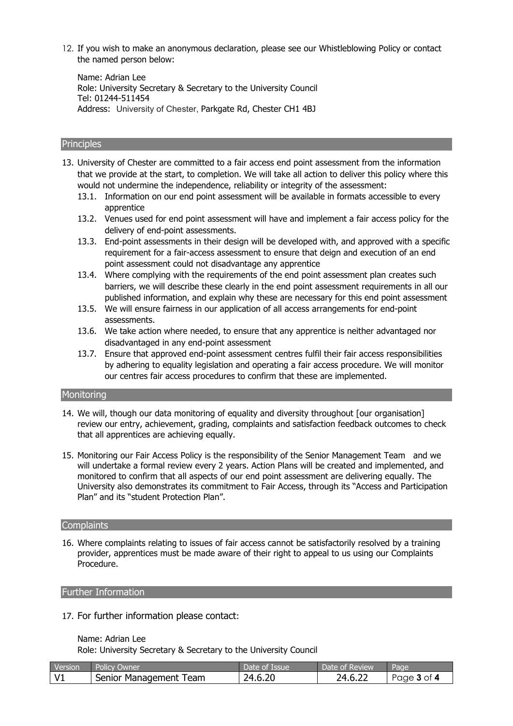12. If you wish to make an anonymous declaration, please see our Whistleblowing Policy or contact the named person below:

Name: Adrian Lee Role: University Secretary & Secretary to the University Council Tel: 01244-511454 Address: University of Chester, Parkgate Rd, Chester CH1 4BJ

#### **Principles**

13. University of Chester are committed to a fair access end point assessment from the information that we provide at the start, to completion. We will take all action to deliver this policy where this would not undermine the independence, reliability or integrity of the assessment:

- 13.1. Information on our end point assessment will be available in formats accessible to every apprentice
- 13.2. Venues used for end point assessment will have and implement a fair access policy for the delivery of end-point assessments.
- 13.3. End-point assessments in their design will be developed with, and approved with a specific requirement for a fair-access assessment to ensure that deign and execution of an end point assessment could not disadvantage any apprentice
- 13.4. Where complying with the requirements of the end point assessment plan creates such barriers, we will describe these clearly in the end point assessment requirements in all our published information, and explain why these are necessary for this end point assessment
- 13.5. We will ensure fairness in our application of all access arrangements for end-point assessments.
- 13.6. We take action where needed, to ensure that any apprentice is neither advantaged nor disadvantaged in any end-point assessment
- 13.7. Ensure that approved end-point assessment centres fulfil their fair access responsibilities by adhering to equality legislation and operating a fair access procedure. We will monitor our centres fair access procedures to confirm that these are implemented.

# **Monitoring**

- 14. We will, though our data monitoring of equality and diversity throughout [our organisation] review our entry, achievement, grading, complaints and satisfaction feedback outcomes to check that all apprentices are achieving equally.
- 15. Monitoring our Fair Access Policy is the responsibility of the Senior Management Team and we will undertake a formal review every 2 years. Action Plans will be created and implemented, and monitored to confirm that all aspects of our end point assessment are delivering equally. The University also demonstrates its commitment to Fair Access, through its "Access and Participation Plan" and its "student Protection Plan".

## Complaints

16. Where complaints relating to issues of fair access cannot be satisfactorily resolved by a training provider, apprentices must be made aware of their right to appeal to us using our Complaints Procedure.

#### Further Information

17. For further information please contact:

#### Name: Adrian Lee

Role: University Secretary & Secretary to the University Council

| <b>Version</b> | <b>Policy Owner</b>    | Date of Issue | Date of Review | Page            |
|----------------|------------------------|---------------|----------------|-----------------|
|                | Senior Management Team | 24.6.20       | 24.6.22        | Page $3$ of $4$ |